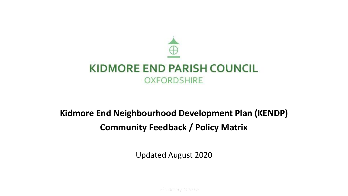

# **Kidmore End Neighbourhood Development Plan (KENDP) Community Feedback / Policy Matrix**

Updated August 2020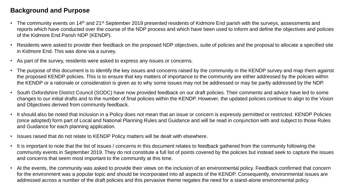#### **Background and Purpose**

- The community events on 14<sup>th</sup> and 21<sup>st</sup> September 2019 presented residents of Kidmore End parish with the surveys, assessments and reports which have conducted over the course of the NDP process and which have been used to inform and define the objectives and policies of the Kidmore End Parish NDP (KENDP).
- Residents were asked to provide their feedback on the proposed NDP objectives, suite of policies and the proposal to allocate a specified site in Kidmore End. This was done via a survey.
- As part of the survey, residents were asked to express any issues or concerns.
- The purpose of this document is to identify the key issues and concerns raised by the community in the KENDP survey and map them against the proposed KENDP policies. This is to ensure that key matters of importance to the community are either addressed by the policies within the KENDP or a rationale or consideration is given as to why some issues may not be addressed or may be partly addressed by the NDP.
- South Oxfordshire District Council (SODC) have now provided feedback on our draft policies. Their comments and advice have led to some changes to our initial drafts and to the number of final policies within the KENDP. However, the updated policies continue to align to the Vision and Objectives derived from community feedback.
- It should also be noted that inclusion in a Policy does not mean that an issue or concern is expressly permitted or restricted. KENDP Policies (once adopted) form part of Local and National Planning Rules and Guidance and will be read in conjunction with and subject to those Rules and Guidance for each planning application.
- Issues raised that do not relate to KENDP Policy matters will be dealt with elsewhere.
- It is important to note that the list of issues / concerns in this document relates to feedback gathered from the community following the community events in September 2019. They do not constitute a full list of points covered by the policies but instead seek to capture the issues and concerns that seem most important to the community at this time.
- At the events, the community was asked to provide their views on the inclusion of an environmental policy. Feedback confirmed that concern for the environment was a popular topic and should be incorporated into all aspects of the KENDP. Consequently, environmental issues are addressed across a number of the draft policies and this pervasive theme negates the need for a stand-alone environmental policy.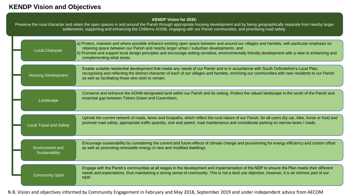#### **KENDP Vision and Objectives**

#### **KENDP Vision for 2035:**

Preserve the rural character and retain the open spaces in and around the Parish through appropriate housing development and by being geographically separate from nearby larger settlements, supporting and enhancing the Chilterns AONB, engaging with our Parish communities, and prioritising road safety.

| <b>Local Character</b>                   | a) Protect, maintain and where possible enhance existing open space between and around our villages and hamlets, with particular emphasis on<br>retaining space between our Parish and nearby larger urban / suburban developments, and<br>b) Promote and support local design principles and encourage setting-sensitive, environmentally friendly development with a view to enhancing and<br>complementing what exists. |
|------------------------------------------|----------------------------------------------------------------------------------------------------------------------------------------------------------------------------------------------------------------------------------------------------------------------------------------------------------------------------------------------------------------------------------------------------------------------------|
| <b>Housing Development</b>               | Enable suitable residential development that meets any needs of our Parish and is in accordance with South Oxfordshire's Local Plan,<br>recognising and reflecting the distinct character of each of our villages and hamlets, enriching our communities with new residents to our Parish<br>as well as facilitating those who wish to remain.                                                                             |
| Landscape                                | Conserve and enhance the AONB-designated land within our Parish and its setting. Protect the valued landscape in the south of the Parish and<br>essential gap between Tokers Green and Caversham.                                                                                                                                                                                                                          |
| <b>Local Travel and Safety</b>           | Uphold the current network of roads, lanes and footpaths, which reflect the rural nature of our Parish, for all users (by car, bike, horse or foot) and<br>promote road safety, appropriate traffic quantity, size and speed, road maintenance and considerate parking on narrow lanes / roads.                                                                                                                            |
| <b>Environment and</b><br>Sustainability | Encourage sustainability by considering the current and future effects of climate change and provisioning for energy efficiency and carbon offset<br>as well as promoting renewable energy in new and modified dwellings.                                                                                                                                                                                                  |
| <b>Community Spirit</b>                  | Engage with the Parish's communities at all stages in the development and implementation of the NDP to ensure the Plan meets their different<br>needs and expectations, thus maintaining a strong sense of community. This is not a land use objective, however, it is an intrinsic part of our<br>NDP.                                                                                                                    |

N.B. Vision and objectives informed by Community Engagement in February and May 2018, September 2019 and under independent advice from AECOM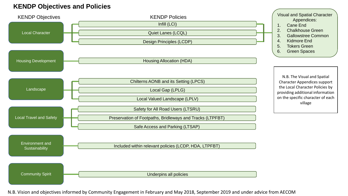### **KENDP Objectives and Policies**



N.B. Vision and objectives informed by Community Engagement in February and May 2018, September 2019 and under advice from AECOM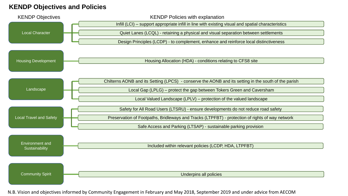#### **KENDP Objectives and Policies**



N.B. Vision and objectives informed by Community Engagement in February and May 2018, September 2019 and under advice from AECOM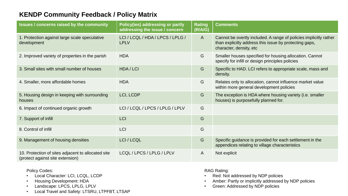### **KENDP Community Feedback / Policy Matrix**

| <b>Issues / concerns raised by the community</b>                                       | <b>Policy(ies) addressing or partly</b><br>addressing the issue / concern | <b>Rating</b><br>(R/A/G) | <b>Comments</b>                                                                                                                                        |
|----------------------------------------------------------------------------------------|---------------------------------------------------------------------------|--------------------------|--------------------------------------------------------------------------------------------------------------------------------------------------------|
| 1. Protection against large scale speculative<br>development                           | LCI / LCQL / HDA / LPCS / LPLG /<br><b>LPLV</b>                           | $\mathsf{A}$             | Cannot be overtly included. A range of policies implicitly rather<br>than explicitly address this issue by protecting gaps,<br>character, density, etc |
| 2. Improved variety of properties in the parish                                        | <b>HDA</b>                                                                | G                        | Smaller houses specified for housing allocation. Cannot<br>specify for infill or design principles policies                                            |
| 3. Small sites with small number of houses                                             | HDA / LCI                                                                 | G                        | Specific to HAD. LCI refers to appropriate scale, mass and<br>density.                                                                                 |
| 4. Smaller, more affordable homes                                                      | <b>HDA</b>                                                                | G                        | Relates only to allocation, cannot influence market value<br>within more general development policies                                                  |
| 5. Housing design in keeping with surrounding<br>houses                                | LCI, LCDP                                                                 | G                        | The exception is HDA where housing variety (i.e. smaller<br>houses) is purposefully planned for.                                                       |
| 6. Impact of continued organic growth                                                  | LCI / LCQL / LPCS / LPLG / LPLV                                           | G                        |                                                                                                                                                        |
| 7. Support of infill                                                                   | <b>LCI</b>                                                                | G                        |                                                                                                                                                        |
| 8. Control of infill                                                                   | <b>LCI</b>                                                                | G                        |                                                                                                                                                        |
| 9. Management of housing densities                                                     | LCI / LCQL                                                                | G                        | Specific guidance is provided for each settlement in the<br>appendices relating to village characteristics                                             |
| 10. Protection of sites adjacent to allocated site<br>(protect against site extension) | LCQL / LPCS / LPLG / LPLV                                                 | A                        | Not explicit                                                                                                                                           |

Policy Codes:

- Local Character: LCI, LCQL, LCDP
- Housing Development: HDA
- Landscape: LPCS, LPLG, LPLV
- Local Travel and Safety: LTSRU, LTPFBT, LTSAP

RAG Rating:

- Red: Not addressed by NDP policies
- Amber: Partly or implicitly addressed by NDP policies
- Green: Addressed by NDP policies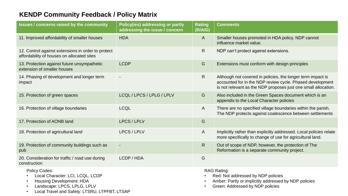## **KENDP Community Feedback / Policy Matrix**

| <b>Issues / concerns raised by the community</b>                                                                                                                                                                   | <b>Policy(ies) addressing or partly</b><br>addressing the issue / concern | <b>Rating</b><br>(R/A/G) | <b>Comments</b>                                                                                                                                                                            |
|--------------------------------------------------------------------------------------------------------------------------------------------------------------------------------------------------------------------|---------------------------------------------------------------------------|--------------------------|--------------------------------------------------------------------------------------------------------------------------------------------------------------------------------------------|
| 11. Improved affordability of smaller houses                                                                                                                                                                       | <b>HDA</b>                                                                | $\mathsf{A}$             | Smaller houses promoted in HDA policy. NDP cannot<br>influence market value.                                                                                                               |
| 12. Control against extensions in order to protect<br>affordability of houses on allocated sites                                                                                                                   |                                                                           | $\mathsf{R}$             | NDP can't protect against extensions.                                                                                                                                                      |
| 13. Protection against future unsympathetic<br>extension of smaller houses                                                                                                                                         | <b>LCDP</b>                                                               | G                        | Extensions must conform with design principles                                                                                                                                             |
| 14. Phasing of development and longer term<br>impact                                                                                                                                                               |                                                                           | $\mathsf{R}$             | Although not covered in policies, the longer term impact is<br>accounted for in the NDP review cycle. Phased development<br>is not relevant as the NDP proposes just one small allocation. |
| 15. Protection of green spaces                                                                                                                                                                                     | LCQL / LPCS / LPLG / LPLV                                                 | G                        | Also included in the Green Spaces document which is an<br>appendix to the Local Character policies                                                                                         |
| 16. Protection of village boundaries                                                                                                                                                                               | <b>LCQL</b>                                                               | $\mathsf{A}$             | There are no specified village boundaries within the parish.<br>The NDP protects against coalescence between settlements                                                                   |
| 17. Protection of AONB land                                                                                                                                                                                        | LPCS / LPLV                                                               | G                        |                                                                                                                                                                                            |
| 18. Protection of agricultural land                                                                                                                                                                                | LPCS / LPLV                                                               | $\mathsf{A}$             | Implicitly rather than explicitly addressed. Local policies relate<br>more specifically to change of use for agricultural land.                                                            |
| 19. Protection of community buildings such as<br>pub                                                                                                                                                               | $\blacksquare$                                                            | $\mathsf{R}$             | Out of scope of NDP, however, the protection of The<br>Reformation is a separate community project.                                                                                        |
| 20. Consideration for traffic / road use during<br>construction                                                                                                                                                    | LCDP / HDA                                                                | G                        |                                                                                                                                                                                            |
| <b>Policy Codes:</b><br>Local Character: LCI, LCQL, LCDP<br>$\bullet$<br><b>Housing Development: HDA</b><br>Landscape: LPCS, LPLG, LPLV<br>$\bullet$<br>Local Travel and Safety: LTSRU, LTPFBT, LTSAP<br>$\bullet$ |                                                                           |                          | <b>RAG Rating:</b><br>Red: Not addressed by NDP policies<br>Amber: Partly or implicitly addressed by NDP policies<br>Green: Addressed by NDP policies                                      |